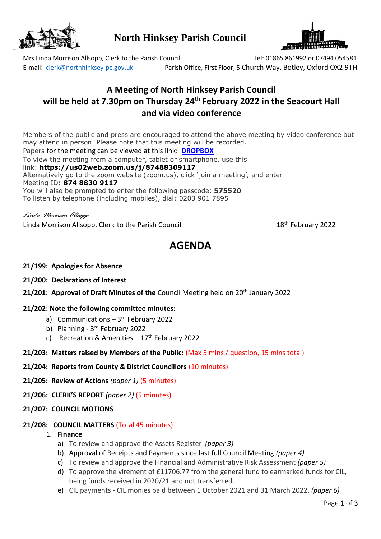

**North Hinksey Parish Council**



Mrs Linda Morrison Allsopp, Clerk to the Parish Council Tel: 01865 861992 or 07494 054581 E-mail: [clerk@northhinksey-pc.gov.uk](mailto:clerk@northhinksey-pc.gov.uk) Parish Office, First Floor, 5 Church Way, Botley, Oxford OX2 9TH

## **A Meeting of North Hinksey Parish Council will be held at 7.30pm on Thursday 24 th February 2022 in the Seacourt Hall and via video conference**

Members of the public and press are encouraged to attend the above meeting by video conference but may attend in person. Please note that this meeting will be recorded. Papers for the meeting can be viewed at this link: **[DROPBOX](https://www.dropbox.com/sh/pfeowlo4ip1rn3c/AAB9VTF2UFQpJf6XdW_PERPqa?dl=0)** To view the meeting from a computer, tablet or smartphone, use this

link: **https://us02web.zoom.us/j/87488309117** Alternatively go to the zoom website (zoom.us), click 'join a meeting', and enter Meeting ID: **874 8830 9117** You will also be prompted to enter the following passcode: **575520** To listen by telephone (including mobiles), dial: 0203 901 7895

*Linda Morrison Allsopp .*

Linda Morrison Allsopp, Clerk to the Parish Council

18<sup>th</sup> February 2022

# **AGENDA**

## **21/199: Apologies for Absence**

## **21/200: Declarations of Interest**

**21/201: Approval of Draft Minutes of the Council Meeting held on 20<sup>th</sup> January 2022** 

## **21/202: Note the following committee minutes:**

- a) Communications 3rd February 2022
- b) Planning 3<sup>rd</sup> February 2022
- c) Recreation & Amenities  $-17<sup>th</sup>$  February 2022
- **21/203: Matters raised by Members of the Public:** (Max 5 mins / question, 15 mins total)

## **21/204: Reports from County & District Councillors** (10 minutes)

- **21/205: Review of Actions** *(paper 1)* (5 minutes)
- **21/206: CLERK'S REPORT** *(paper 2)* (5 minutes)
- **21/207: COUNCIL MOTIONS**

## **21/208: COUNCIL MATTERS** (Total 45 minutes)

- 1. **Finance** 
	- a) To review and approve the Assets Register *(paper 3)*
	- b) Approval of Receipts and Payments since last full Council Meeting *(paper 4).*
	- c) To review and approve the Financial and Administrative Risk Assessment *(paper 5)*
	- d) To approve the virement of £11706.77 from the general fund to earmarked funds for CIL, being funds received in 2020/21 and not transferred.
	- e) CIL payments CIL monies paid between 1 October 2021 and 31 March 2022. *(paper 6)*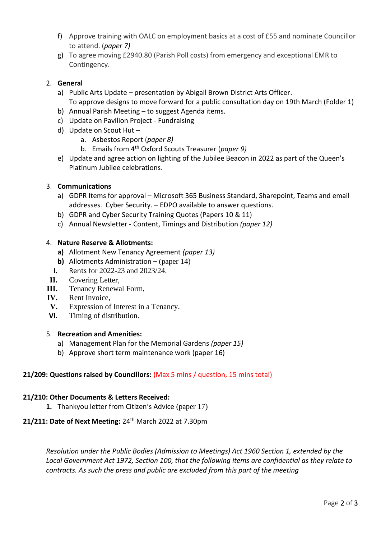- f) Approve training with OALC on employment basics at a cost of £55 and nominate Councillor to attend. (*paper 7)*
- g) To agree moving £2940.80 (Parish Poll costs) from emergency and exceptional EMR to Contingency.

## 2. **General**

- a) Public Arts Update presentation by Abigail Brown District Arts Officer. To approve designs to move forward for a public consultation day on 19th March (Folder 1)
- b) Annual Parish Meeting to suggest Agenda items.
- c) Update on Pavilion Project Fundraising
- d) Update on Scout Hut
	- a. Asbestos Report (*paper 8)*
	- b. Emails from 4th Oxford Scouts Treasurer (*paper 9)*
- e) Update and agree action on lighting of the Jubilee Beacon in 2022 as part of the Queen's Platinum Jubilee celebrations.

## 3. **Communications**

- a) GDPR Items for approval Microsoft 365 Business Standard, Sharepoint, Teams and email addresses. Cyber Security. – EDPO available to answer questions.
- b) GDPR and Cyber Security Training Quotes (Papers 10 & 11)
- c) Annual Newsletter Content, Timings and Distribution *(paper 12)*

#### 4. **Nature Reserve & Allotments:**

- **a)** Allotment New Tenancy Agreement *(paper 13)*
- **b)** Allotments Administration (paper 14)
- **I.** Rents for 2022-23 and 2023/24.
- **II.** Covering Letter,
- **III.** Tenancy Renewal Form,
- **IV.** Rent Invoice,
- **V.** Expression of Interest in a Tenancy.
- **VI.** Timing of distribution.

## 5. **Recreation and Amenities:**

- a) Management Plan for the Memorial Gardens *(paper 15)*
- b) Approve short term maintenance work (paper 16)

## **21/209: Questions raised by Councillors:** (Max 5 mins / question, 15 mins total)

#### **21/210: Other Documents & Letters Received:**

**1.** Thankyou letter from Citizen's Advice (paper 17)

## **21/211: Date of Next Meeting:** 24th March 2022 at 7.30pm

*Resolution under the Public Bodies (Admission to Meetings) Act 1960 Section 1, extended by the Local Government Act 1972, Section 100, that the following items are confidential as they relate to contracts. As such the press and public are excluded from this part of the meeting*